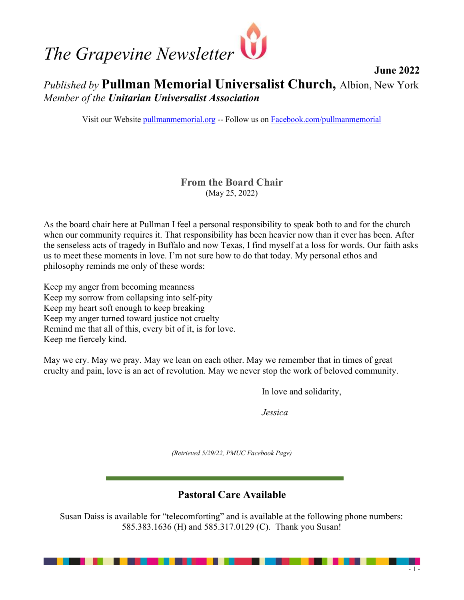

# June 2022 Published by Pullman Memorial Universalist Church, Albion, New York Member of the Unitarian Universalist Association

Visit our Website pullmanmemorial.org -- Follow us on Facebook.com/pullmanmemorial

## From the Board Chair (May 25, 2022)

As the board chair here at Pullman I feel a personal responsibility to speak both to and for the church when our community requires it. That responsibility has been heavier now than it ever has been. After the senseless acts of tragedy in Buffalo and now Texas, I find myself at a loss for words. Our faith asks us to meet these moments in love. I'm not sure how to do that today. My personal ethos and philosophy reminds me only of these words:

Keep my anger from becoming meanness Keep my sorrow from collapsing into self-pity Keep my heart soft enough to keep breaking Keep my anger turned toward justice not cruelty Remind me that all of this, every bit of it, is for love. Keep me fiercely kind.

May we cry. May we pray. May we lean on each other. May we remember that in times of great cruelty and pain, love is an act of revolution. May we never stop the work of beloved community.

In love and solidarity,

Jessica

(Retrieved 5/29/22, PMUC Facebook Page)

## Pastoral Care Available

Susan Daiss is available for "telecomforting" and is available at the following phone numbers: 585.383.1636 (H) and 585.317.0129 (C). Thank you Susan!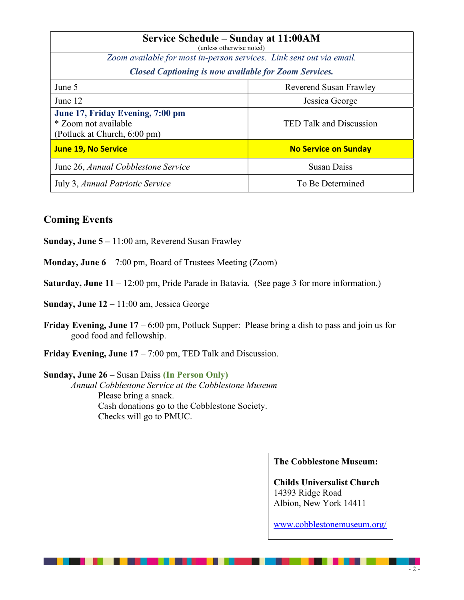| Service Schedule – Sunday at 11:00AM<br>(unless otherwise noted)                         |                             |
|------------------------------------------------------------------------------------------|-----------------------------|
| Zoom available for most in-person services. Link sent out via email.                     |                             |
| <b>Closed Captioning is now available for Zoom Services.</b>                             |                             |
| June 5                                                                                   | Reverend Susan Frawley      |
| June 12                                                                                  | Jessica George              |
| June 17, Friday Evening, 7:00 pm<br>* Zoom not available<br>(Potluck at Church, 6:00 pm) | TED Talk and Discussion     |
| <b>June 19, No Service</b>                                                               | <b>No Service on Sunday</b> |
| June 26, Annual Cobblestone Service                                                      | <b>Susan Daiss</b>          |
| July 3, Annual Patriotic Service                                                         | To Be Determined            |

### Coming Events

Sunday, June 5 – 11:00 am, Reverend Susan Frawley

Monday, June 6 – 7:00 pm, Board of Trustees Meeting (Zoom)

Saturday, June 11 – 12:00 pm, Pride Parade in Batavia. (See page 3 for more information.)

Sunday, June 12 – 11:00 am, Jessica George

- **Friday Evening, June 17** 6:00 pm, Potluck Supper: Please bring a dish to pass and join us for good food and fellowship.
- **Friday Evening, June 17** 7:00 pm, TED Talk and Discussion.

Sunday, June 26 – Susan Daiss (In Person Only) Annual Cobblestone Service at the Cobblestone Museum Please bring a snack. Cash donations go to the Cobblestone Society. Checks will go to PMUC.

#### The Cobblestone Museum:

Childs Universalist Church 14393 Ridge Road Albion, New York 14411

www.cobblestonemuseum.org/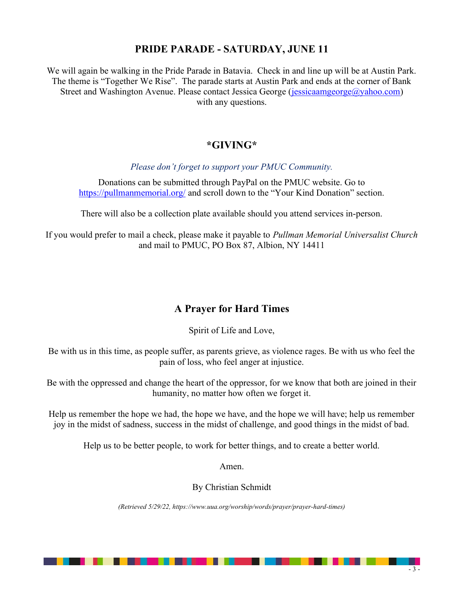## PRIDE PARADE - SATURDAY, JUNE 11

We will again be walking in the Pride Parade in Batavia. Check in and line up will be at Austin Park. The theme is "Together We Rise". The parade starts at Austin Park and ends at the corner of Bank Street and Washington Avenue. Please contact Jessica George (jessicaamgeorge@yahoo.com) with any questions.

## \*GIVING\*

Please don't forget to support your PMUC Community.

Donations can be submitted through PayPal on the PMUC website. Go to https://pullmanmemorial.org/ and scroll down to the "Your Kind Donation" section.

There will also be a collection plate available should you attend services in-person.

If you would prefer to mail a check, please make it payable to Pullman Memorial Universalist Church and mail to PMUC, PO Box 87, Albion, NY 14411

## A Prayer for Hard Times

Spirit of Life and Love,

Be with us in this time, as people suffer, as parents grieve, as violence rages. Be with us who feel the pain of loss, who feel anger at injustice.

Be with the oppressed and change the heart of the oppressor, for we know that both are joined in their humanity, no matter how often we forget it.

Help us remember the hope we had, the hope we have, and the hope we will have; help us remember joy in the midst of sadness, success in the midst of challenge, and good things in the midst of bad.

Help us to be better people, to work for better things, and to create a better world.

Amen.

By Christian Schmidt

(Retrieved 5/29/22, https://www.uua.org/worship/words/prayer/prayer-hard-times)

------